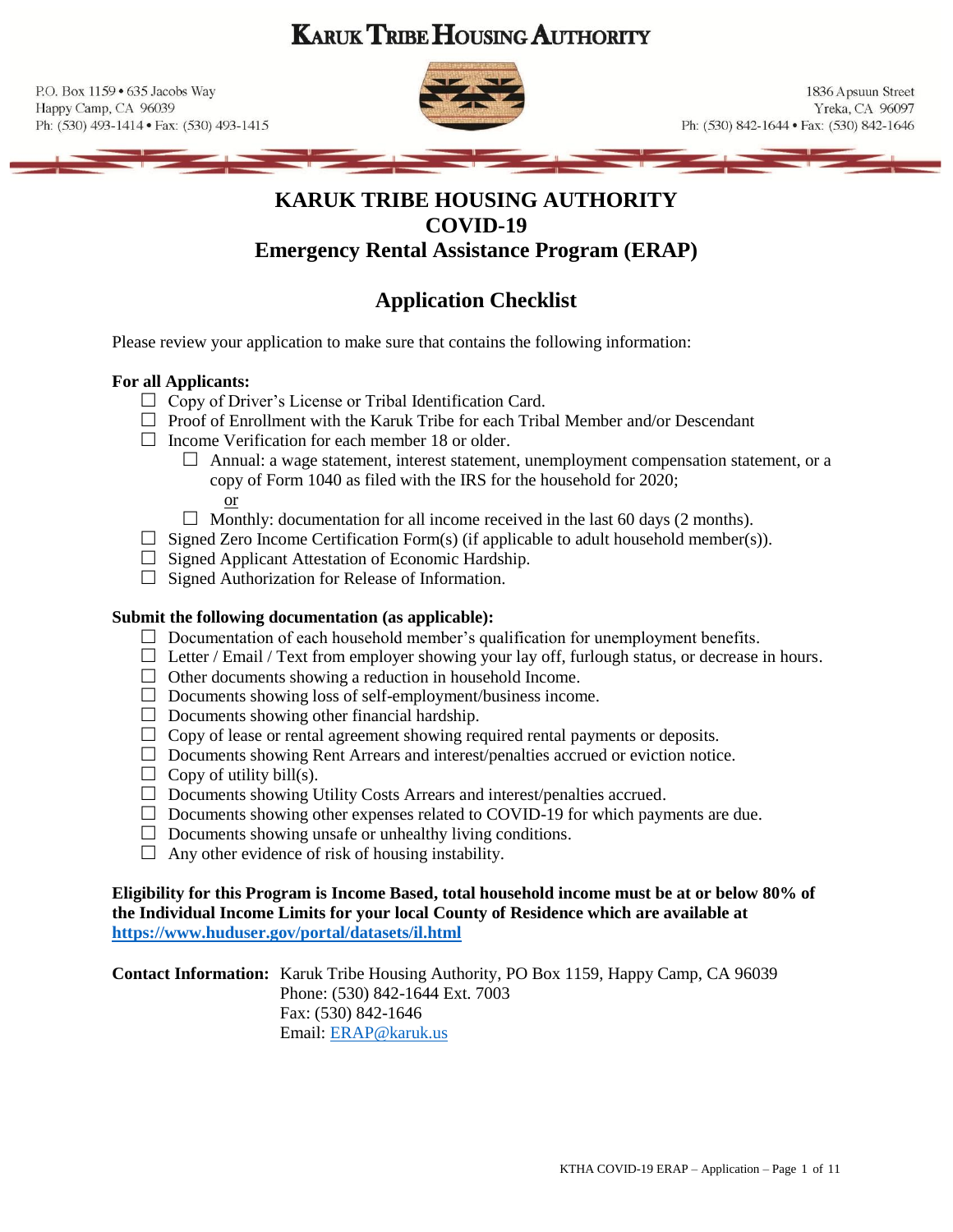# **KARUK TRIBE HOUSING AUTHORITY**

P.O. Box 1159 . 635 Jacobs Way Happy Camp, CA 96039 Ph: (530) 493-1414 · Fax: (530) 493-1415



1836 Apsuun Street Yreka, CA 96097 Ph: (530) 842-1644 • Fax: (530) 842-1646

## **KARUK TRIBE HOUSING AUTHORITY COVID-19 Emergency Rental Assistance Program (ERAP)**

# **Application Checklist**

Please review your application to make sure that contains the following information:

### **For all Applicants:**

- $\Box$  Copy of Driver's License or Tribal Identification Card.
- $\Box$  Proof of Enrollment with the Karuk Tribe for each Tribal Member and/or Descendant
- $\Box$  Income Verification for each member 18 or older.
	- $\Box$  Annual: a wage statement, interest statement, unemployment compensation statement, or a copy of Form 1040 as filed with the IRS for the household for 2020;

or

- $\Box$  Monthly: documentation for all income received in the last 60 days (2 months).
- $\Box$  Signed Zero Income Certification Form(s) (if applicable to adult household member(s)).
- $\Box$  Signed Applicant Attestation of Economic Hardship.
- $\Box$  Signed Authorization for Release of Information.

#### **Submit the following documentation (as applicable):**

- $\Box$  Documentation of each household member's qualification for unemployment benefits.
- $\Box$  Letter / Email / Text from employer showing your lay off, furlough status, or decrease in hours.
- $\Box$  Other documents showing a reduction in household Income.
- $\Box$  Documents showing loss of self-employment/business income.
- $\Box$  Documents showing other financial hardship.
- $\Box$  Copy of lease or rental agreement showing required rental payments or deposits.
- $\Box$  Documents showing Rent Arrears and interest/penalties accrued or eviction notice.
- $\Box$  Copy of utility bill(s).
- $\Box$  Documents showing Utility Costs Arrears and interest/penalties accrued.
- $\Box$  Documents showing other expenses related to COVID-19 for which payments are due.
- $\Box$  Documents showing unsafe or unhealthy living conditions.
- $\Box$  Any other evidence of risk of housing instability.

**Eligibility for this Program is Income Based, total household income must be at or below 80% of the Individual Income Limits for your local County of Residence which are available at <https://www.huduser.gov/portal/datasets/il.html>**

**Contact Information:** Karuk Tribe Housing Authority, PO Box 1159, Happy Camp, CA 96039 Phone: (530) 842-1644 Ext. 7003 Fax: (530) 842-1646 Email: [ERAP@karuk.us](mailto:ERAP@karuk.us)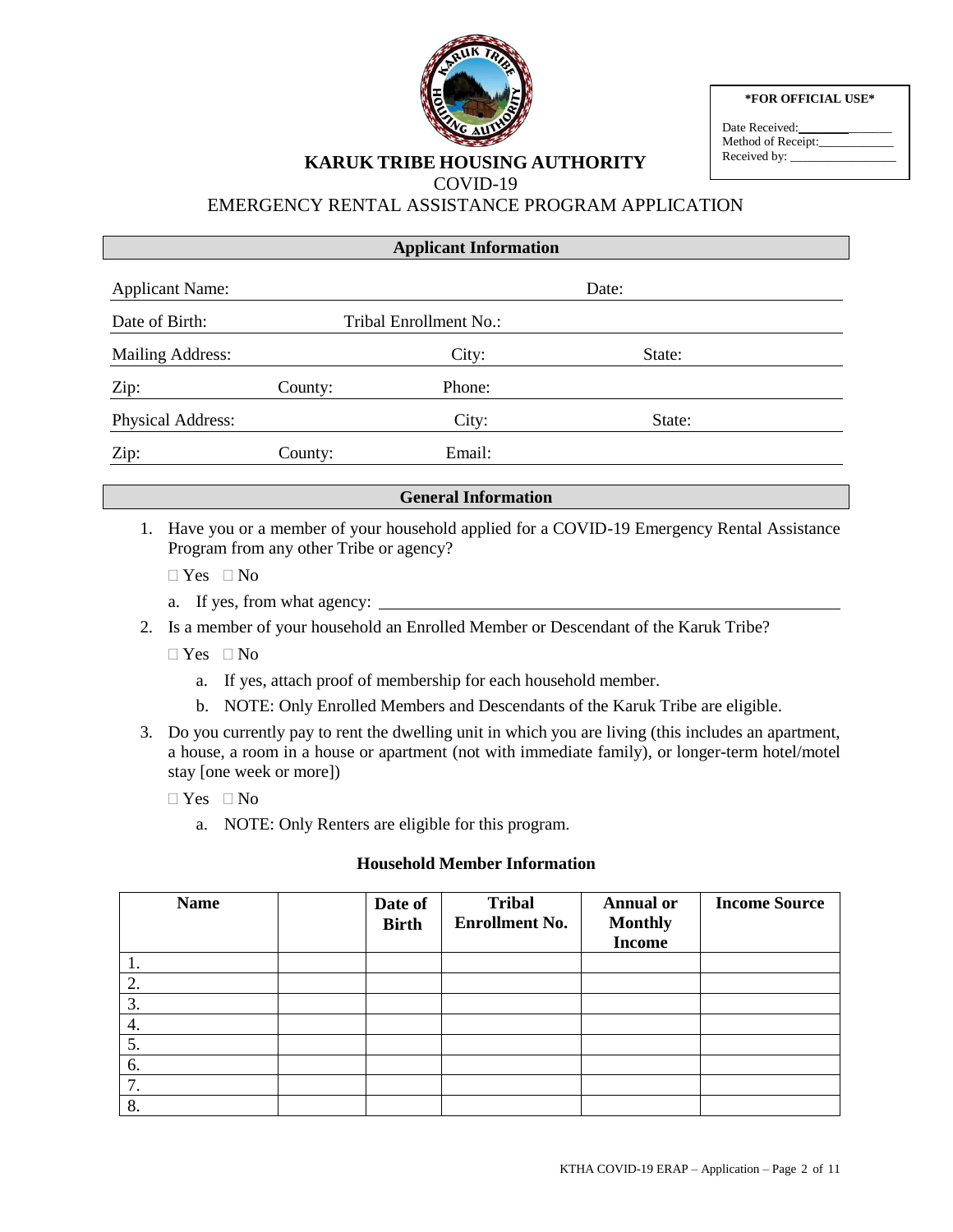

**\*FOR OFFICIAL USE\***

| Date Received:     |
|--------------------|
| Method of Receipt: |
| Received by:       |

## **KARUK TRIBE HOUSING AUTHORITY**

COVID-19

## EMERGENCY RENTAL ASSISTANCE PROGRAM APPLICATION

| <b>Applicant Information</b> |         |                        |        |  |
|------------------------------|---------|------------------------|--------|--|
| <b>Applicant Name:</b>       |         |                        | Date:  |  |
| Date of Birth:               |         | Tribal Enrollment No.: |        |  |
| <b>Mailing Address:</b>      |         | City:                  | State: |  |
| Zip:                         | County: | Phone:                 |        |  |
| Physical Address:            |         | City:                  | State: |  |
| Zip:                         | County: | Email:                 |        |  |

### **General Information**

- 1. Have you or a member of your household applied for a COVID-19 Emergency Rental Assistance Program from any other Tribe or agency?
	- $\Box$  Yes  $\Box$  No
	- a. If yes, from what agency:
- 2. Is a member of your household an Enrolled Member or Descendant of the Karuk Tribe?
	- $\Box$  Yes  $\Box$  No
		- a. If yes, attach proof of membership for each household member.
		- b. NOTE: Only Enrolled Members and Descendants of the Karuk Tribe are eligible.
- 3. Do you currently pay to rent the dwelling unit in which you are living (this includes an apartment, a house, a room in a house or apartment (not with immediate family), or longer-term hotel/motel stay [one week or more])
	- $\Box$  Yes  $\Box$  No
		- a. NOTE: Only Renters are eligible for this program.

### **Household Member Information**

| <b>Name</b> | Date of<br><b>Birth</b> | <b>Tribal</b><br><b>Enrollment No.</b> | <b>Annual or</b><br><b>Monthly</b><br><b>Income</b> | <b>Income Source</b> |
|-------------|-------------------------|----------------------------------------|-----------------------------------------------------|----------------------|
|             |                         |                                        |                                                     |                      |
| 2.          |                         |                                        |                                                     |                      |
| 3.          |                         |                                        |                                                     |                      |
| 4.          |                         |                                        |                                                     |                      |
| 5.          |                         |                                        |                                                     |                      |
| 6.          |                         |                                        |                                                     |                      |
| 7.          |                         |                                        |                                                     |                      |
| 8.          |                         |                                        |                                                     |                      |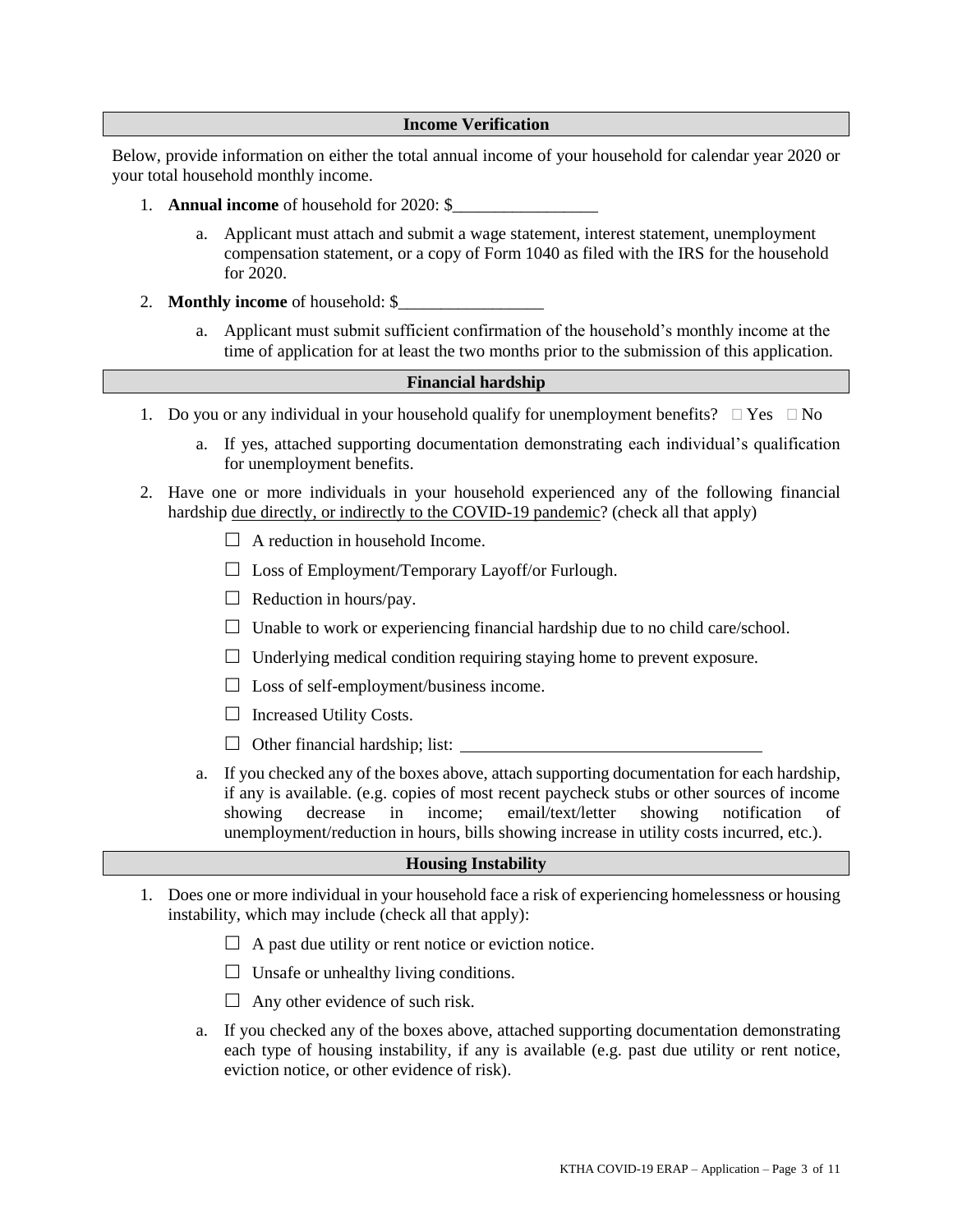#### **Income Verification**

Below, provide information on either the total annual income of your household for calendar year 2020 or your total household monthly income.

- 1. **Annual income** of household for 2020: \$
	- a. Applicant must attach and submit a wage statement, interest statement, unemployment compensation statement, or a copy of Form 1040 as filed with the IRS for the household for 2020.
- 2. **Monthly income** of household: \$\_\_\_\_\_\_\_\_\_\_\_\_\_\_\_\_\_
	- a. Applicant must submit sufficient confirmation of the household's monthly income at the time of application for at least the two months prior to the submission of this application.

#### **Financial hardship**

- 1. Do you or any individual in your household qualify for unemployment benefits?  $\Box$  Yes  $\Box$  No
	- a. If yes, attached supporting documentation demonstrating each individual's qualification for unemployment benefits.
- 2. Have one or more individuals in your household experienced any of the following financial hardship due directly, or indirectly to the COVID-19 pandemic? (check all that apply)
	- $\Box$  A reduction in household Income.
	- $\Box$  Loss of Employment/Temporary Layoff/or Furlough.
	- $\Box$  Reduction in hours/pay.
	- $\Box$  Unable to work or experiencing financial hardship due to no child care/school.
	- $\Box$  Underlying medical condition requiring staying home to prevent exposure.
	- $\Box$  Loss of self-employment/business income.
	- $\Box$  Increased Utility Costs.
	- $\Box$  Other financial hardship; list:
	- a. If you checked any of the boxes above, attach supporting documentation for each hardship, if any is available. (e.g. copies of most recent paycheck stubs or other sources of income showing decrease in income; email/text/letter showing notification of unemployment/reduction in hours, bills showing increase in utility costs incurred, etc.).

#### **Housing Instability**

- 1. Does one or more individual in your household face a risk of experiencing homelessness or housing instability, which may include (check all that apply):
	- $\Box$  A past due utility or rent notice or eviction notice.
	- $\Box$  Unsafe or unhealthy living conditions.
	- $\Box$  Any other evidence of such risk.
	- a. If you checked any of the boxes above, attached supporting documentation demonstrating each type of housing instability, if any is available (e.g. past due utility or rent notice, eviction notice, or other evidence of risk).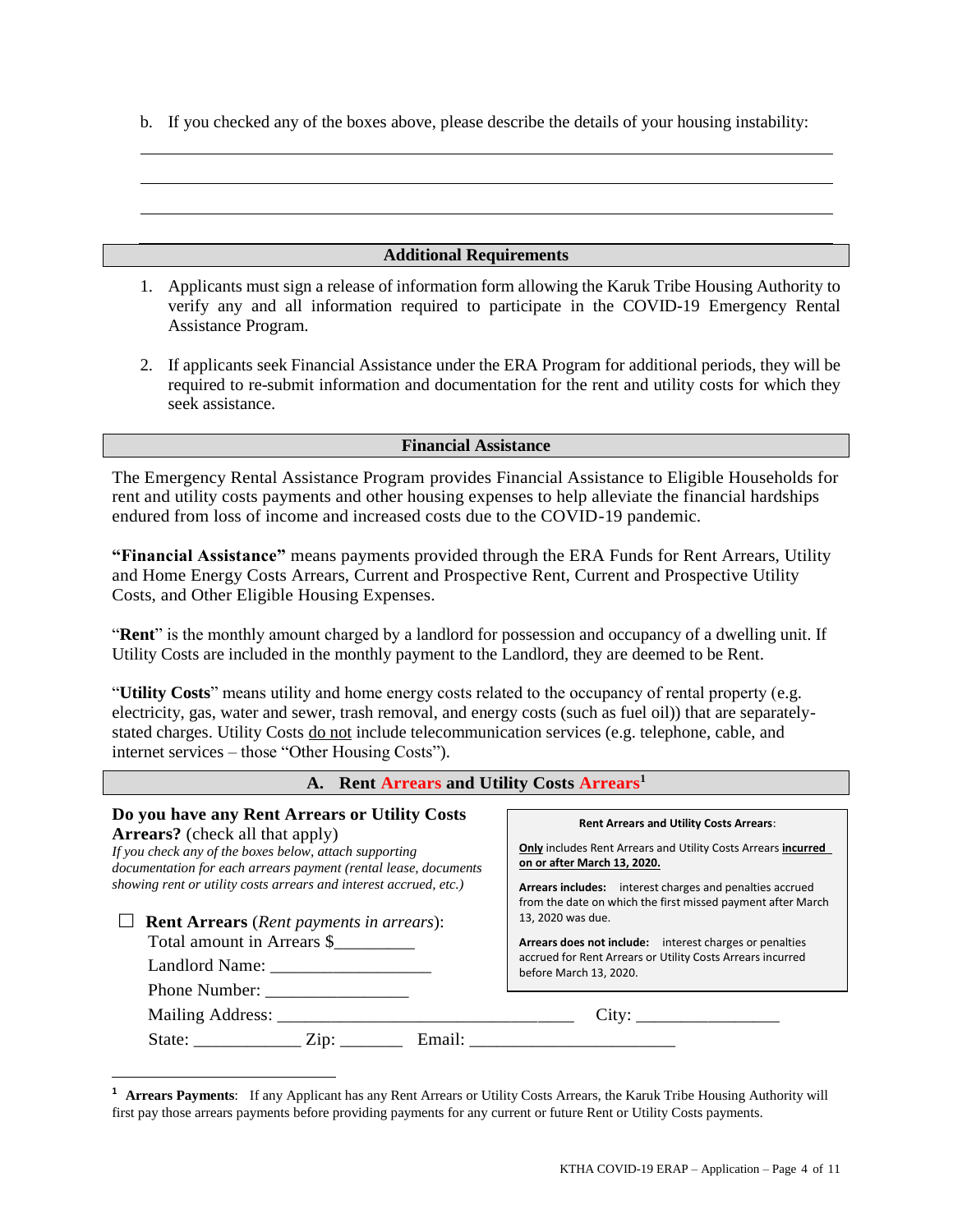b. If you checked any of the boxes above, please describe the details of your housing instability:

#### **Additional Requirements**

- 1. Applicants must sign a release of information form allowing the Karuk Tribe Housing Authority to verify any and all information required to participate in the COVID-19 Emergency Rental Assistance Program.
- 2. If applicants seek Financial Assistance under the ERA Program for additional periods, they will be required to re-submit information and documentation for the rent and utility costs for which they seek assistance.

#### **Financial Assistance**

The Emergency Rental Assistance Program provides Financial Assistance to Eligible Households for rent and utility costs payments and other housing expenses to help alleviate the financial hardships endured from loss of income and increased costs due to the COVID-19 pandemic.

**"Financial Assistance"** means payments provided through the ERA Funds for Rent Arrears, Utility and Home Energy Costs Arrears, Current and Prospective Rent, Current and Prospective Utility Costs, and Other Eligible Housing Expenses.

"**Rent**" is the monthly amount charged by a landlord for possession and occupancy of a dwelling unit. If Utility Costs are included in the monthly payment to the Landlord, they are deemed to be Rent.

"**Utility Costs**" means utility and home energy costs related to the occupancy of rental property (e.g. electricity, gas, water and sewer, trash removal, and energy costs (such as fuel oil)) that are separatelystated charges. Utility Costs do not include telecommunication services (e.g. telephone, cable, and internet services – those "Other Housing Costs").

| A. Rent Arrears and Utility Costs Arrears <sup>1</sup>                                                                                                                                                                                                                                                                                                                                                                          |                                                                                                                                                                                                                                                                                                                                                                                                                                                                   |  |  |  |  |
|---------------------------------------------------------------------------------------------------------------------------------------------------------------------------------------------------------------------------------------------------------------------------------------------------------------------------------------------------------------------------------------------------------------------------------|-------------------------------------------------------------------------------------------------------------------------------------------------------------------------------------------------------------------------------------------------------------------------------------------------------------------------------------------------------------------------------------------------------------------------------------------------------------------|--|--|--|--|
| Do you have any Rent Arrears or Utility Costs<br><b>Arrears?</b> (check all that apply)<br>If you check any of the boxes below, attach supporting<br>documentation for each arrears payment (rental lease, documents<br>showing rent or utility costs arrears and interest accrued, etc.)<br><b>Rent Arrears</b> (Rent payments in arrears):<br>Total amount in Arrears \$<br><b>Phone Number:</b><br>State: <u>Zip: Email:</u> | <b>Rent Arrears and Utility Costs Arrears:</b><br><b>Only</b> includes Rent Arrears and Utility Costs Arrears incurred<br>on or after March 13, 2020.<br>Arrears includes: interest charges and penalties accrued<br>from the date on which the first missed payment after March<br>13, 2020 was due.<br>Arrears does not include: interest charges or penalties<br>accrued for Rent Arrears or Utility Costs Arrears incurred<br>before March 13, 2020.<br>City: |  |  |  |  |

**<sup>1</sup> Arrears Payments**: If any Applicant has any Rent Arrears or Utility Costs Arrears, the Karuk Tribe Housing Authority will first pay those arrears payments before providing payments for any current or future Rent or Utility Costs payments.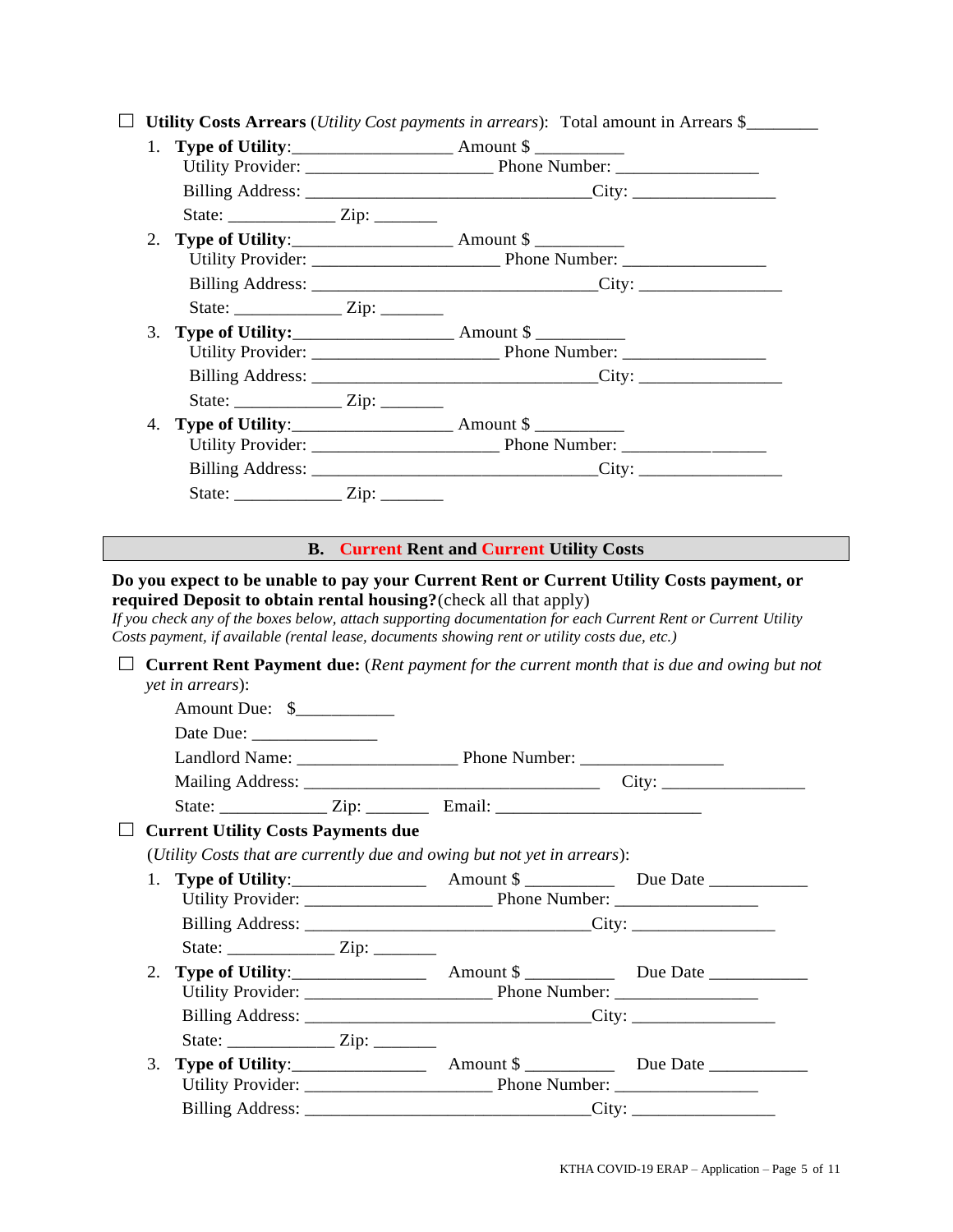|  |  |  |  |  | $\Box$ Utility Costs Arrears (Utility Cost payments in arrears): Total amount in Arrears \$ |  |
|--|--|--|--|--|---------------------------------------------------------------------------------------------|--|
|--|--|--|--|--|---------------------------------------------------------------------------------------------|--|

| State: $\angle$ Zip: $\angle$ |                                                                                          |
|-------------------------------|------------------------------------------------------------------------------------------|
|                               |                                                                                          |
|                               |                                                                                          |
|                               |                                                                                          |
|                               |                                                                                          |
|                               |                                                                                          |
|                               |                                                                                          |
|                               |                                                                                          |
|                               |                                                                                          |
|                               |                                                                                          |
|                               |                                                                                          |
|                               |                                                                                          |
|                               |                                                                                          |
|                               |                                                                                          |
|                               | <b>B.</b> Current Rent and Current Utility Costs                                         |
|                               | Do you expect to be unable to pay your Current Rent or Current Utility Costs payment, or |

**required Deposit to obtain rental housing?**(check all that apply)

*If you check any of the boxes below, attach supporting documentation for each Current Rent or Current Utility Costs payment, if available (rental lease, documents showing rent or utility costs due, etc.)*

|    | <i>yet in arrears</i> ):                  |                                                                                  | <b>Current Rent Payment due:</b> (Rent payment for the current month that is due and owing but not |
|----|-------------------------------------------|----------------------------------------------------------------------------------|----------------------------------------------------------------------------------------------------|
|    | Amount Due: \$                            |                                                                                  |                                                                                                    |
|    |                                           |                                                                                  |                                                                                                    |
|    |                                           |                                                                                  |                                                                                                    |
|    |                                           |                                                                                  |                                                                                                    |
|    |                                           | State: ________________ Zip: ____________ Email: _______________________________ |                                                                                                    |
|    | <b>Current Utility Costs Payments due</b> |                                                                                  |                                                                                                    |
|    |                                           | (Utility Costs that are currently due and owing but not yet in arrears):         |                                                                                                    |
|    |                                           |                                                                                  |                                                                                                    |
|    |                                           |                                                                                  |                                                                                                    |
|    |                                           |                                                                                  |                                                                                                    |
|    |                                           |                                                                                  |                                                                                                    |
|    |                                           |                                                                                  |                                                                                                    |
|    |                                           |                                                                                  |                                                                                                    |
| 3. |                                           |                                                                                  |                                                                                                    |
|    |                                           |                                                                                  |                                                                                                    |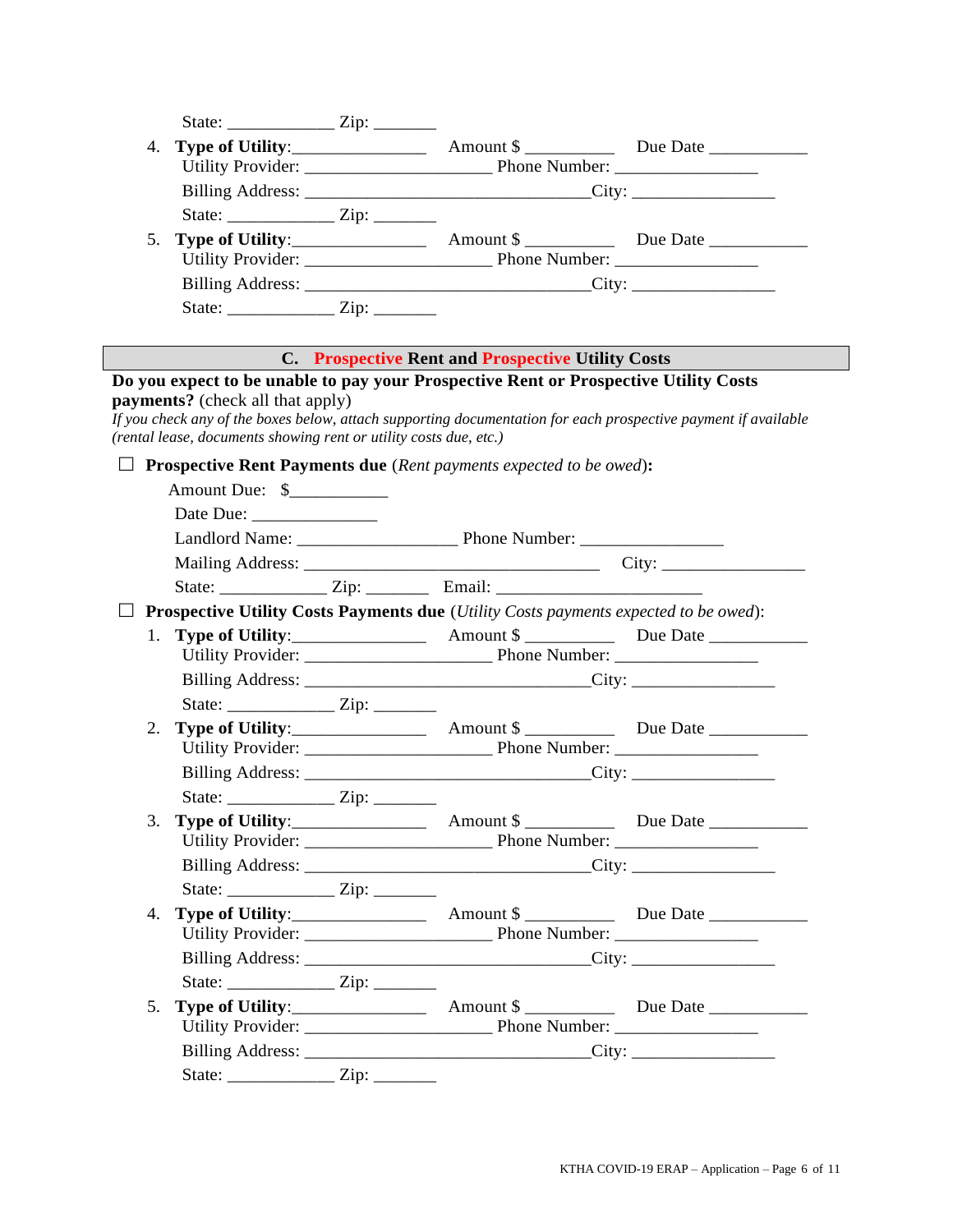| 4. |                                                                   |  |                                                                                      |                                                                                                                |
|----|-------------------------------------------------------------------|--|--------------------------------------------------------------------------------------|----------------------------------------------------------------------------------------------------------------|
|    |                                                                   |  |                                                                                      |                                                                                                                |
|    |                                                                   |  |                                                                                      |                                                                                                                |
|    |                                                                   |  |                                                                                      |                                                                                                                |
| 5. |                                                                   |  |                                                                                      |                                                                                                                |
|    |                                                                   |  |                                                                                      |                                                                                                                |
|    |                                                                   |  |                                                                                      |                                                                                                                |
|    |                                                                   |  |                                                                                      |                                                                                                                |
|    |                                                                   |  | <b>C. Prospective Rent and Prospective Utility Costs</b>                             |                                                                                                                |
|    | <b>payments?</b> (check all that apply)                           |  | Do you expect to be unable to pay your Prospective Rent or Prospective Utility Costs | If you check any of the boxes below, attach supporting documentation for each prospective payment if available |
|    | (rental lease, documents showing rent or utility costs due, etc.) |  |                                                                                      |                                                                                                                |
|    |                                                                   |  | <b>Prospective Rent Payments due</b> (Rent payments expected to be owed):            |                                                                                                                |
|    | Amount Due: \$_____________                                       |  |                                                                                      |                                                                                                                |
|    |                                                                   |  |                                                                                      |                                                                                                                |
|    |                                                                   |  |                                                                                      |                                                                                                                |
|    |                                                                   |  |                                                                                      |                                                                                                                |
|    |                                                                   |  |                                                                                      |                                                                                                                |
|    |                                                                   |  | Prospective Utility Costs Payments due (Utility Costs payments expected to be owed): |                                                                                                                |
| 1. |                                                                   |  |                                                                                      |                                                                                                                |
|    |                                                                   |  |                                                                                      |                                                                                                                |
|    |                                                                   |  |                                                                                      |                                                                                                                |
|    |                                                                   |  |                                                                                      |                                                                                                                |
| 2. |                                                                   |  |                                                                                      |                                                                                                                |
|    |                                                                   |  |                                                                                      |                                                                                                                |
|    |                                                                   |  |                                                                                      |                                                                                                                |
|    |                                                                   |  |                                                                                      |                                                                                                                |
|    |                                                                   |  |                                                                                      |                                                                                                                |
|    |                                                                   |  |                                                                                      |                                                                                                                |
|    |                                                                   |  |                                                                                      |                                                                                                                |
|    |                                                                   |  |                                                                                      |                                                                                                                |
|    |                                                                   |  |                                                                                      |                                                                                                                |
|    |                                                                   |  |                                                                                      |                                                                                                                |
|    |                                                                   |  |                                                                                      |                                                                                                                |
|    |                                                                   |  |                                                                                      |                                                                                                                |
|    |                                                                   |  |                                                                                      |                                                                                                                |
|    |                                                                   |  |                                                                                      |                                                                                                                |
|    | State: $\frac{Zip: \dots}{i}$                                     |  |                                                                                      |                                                                                                                |
|    |                                                                   |  |                                                                                      |                                                                                                                |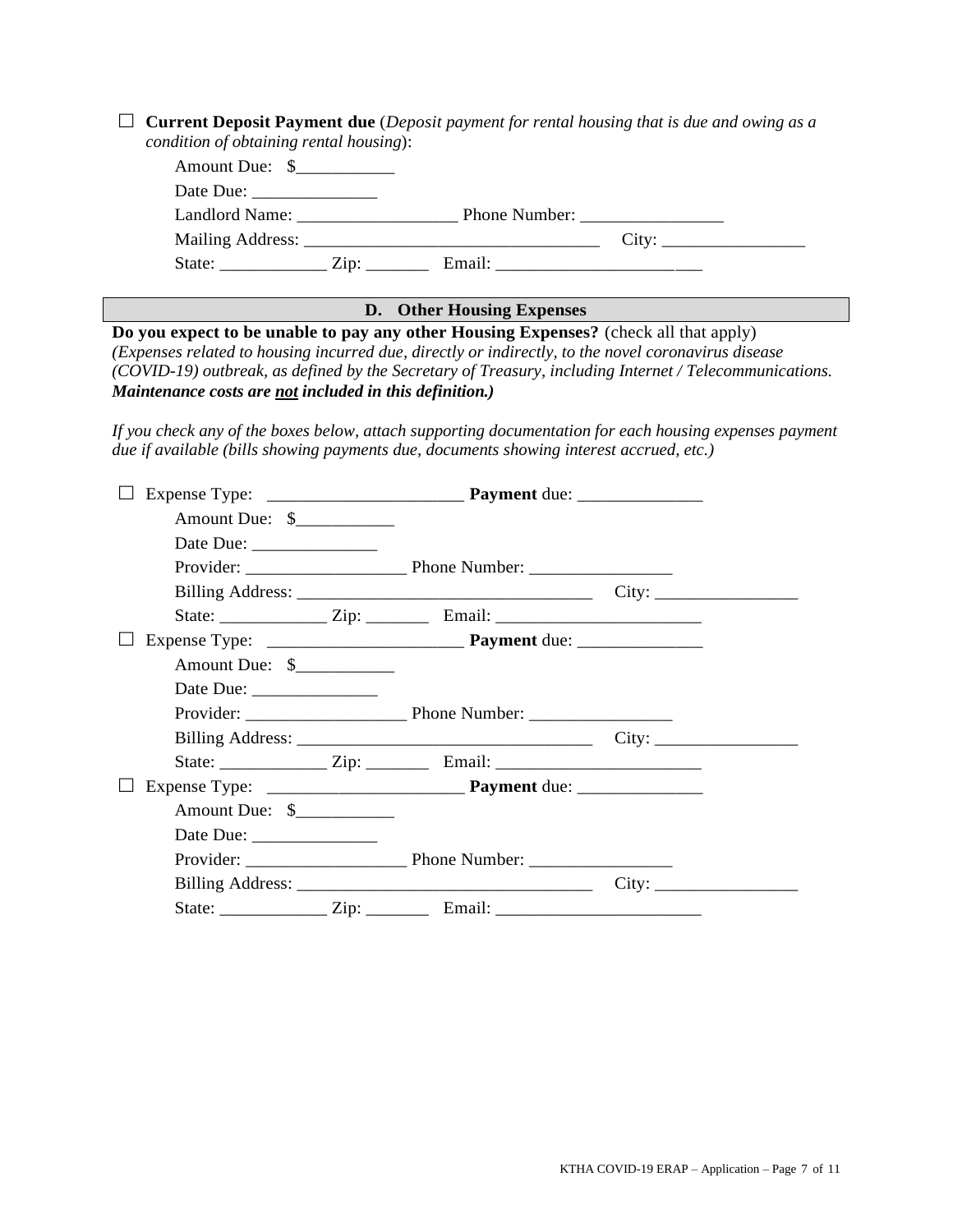| <b>Current Deposit Payment due</b> (Deposit payment for rental housing that is due and owing as a<br>condition of obtaining rental housing):                                                                                                                                                                                                                                                                                                                                  |                           |  |
|-------------------------------------------------------------------------------------------------------------------------------------------------------------------------------------------------------------------------------------------------------------------------------------------------------------------------------------------------------------------------------------------------------------------------------------------------------------------------------|---------------------------|--|
| Amount Due: \$____________                                                                                                                                                                                                                                                                                                                                                                                                                                                    |                           |  |
|                                                                                                                                                                                                                                                                                                                                                                                                                                                                               |                           |  |
| Landlord Name: Phone Number:                                                                                                                                                                                                                                                                                                                                                                                                                                                  |                           |  |
|                                                                                                                                                                                                                                                                                                                                                                                                                                                                               |                           |  |
| State: _______________ Zip: ___________ Email: _________________________________                                                                                                                                                                                                                                                                                                                                                                                              |                           |  |
|                                                                                                                                                                                                                                                                                                                                                                                                                                                                               |                           |  |
| Do you expect to be unable to pay any other Housing Expenses? (check all that apply)                                                                                                                                                                                                                                                                                                                                                                                          | D. Other Housing Expenses |  |
| (Expenses related to housing incurred due, directly or indirectly, to the novel coronavirus disease<br>(COVID-19) outbreak, as defined by the Secretary of Treasury, including Internet / Telecommunications.<br>Maintenance costs are not included in this definition.)<br>If you check any of the boxes below, attach supporting documentation for each housing expenses payment<br>due if available (bills showing payments due, documents showing interest accrued, etc.) |                           |  |
|                                                                                                                                                                                                                                                                                                                                                                                                                                                                               |                           |  |
| Amount Due: \$                                                                                                                                                                                                                                                                                                                                                                                                                                                                |                           |  |
| Date Due:                                                                                                                                                                                                                                                                                                                                                                                                                                                                     |                           |  |
|                                                                                                                                                                                                                                                                                                                                                                                                                                                                               |                           |  |
|                                                                                                                                                                                                                                                                                                                                                                                                                                                                               |                           |  |
| State: ________________ Zip: ___________ Email: ________________________________                                                                                                                                                                                                                                                                                                                                                                                              |                           |  |
|                                                                                                                                                                                                                                                                                                                                                                                                                                                                               |                           |  |
| Amount Due: \$____________                                                                                                                                                                                                                                                                                                                                                                                                                                                    |                           |  |
|                                                                                                                                                                                                                                                                                                                                                                                                                                                                               |                           |  |
|                                                                                                                                                                                                                                                                                                                                                                                                                                                                               |                           |  |
|                                                                                                                                                                                                                                                                                                                                                                                                                                                                               |                           |  |
| State: ________________ Zip: ___________ Email: ________________________________                                                                                                                                                                                                                                                                                                                                                                                              |                           |  |
|                                                                                                                                                                                                                                                                                                                                                                                                                                                                               |                           |  |
| Amount Due: \$                                                                                                                                                                                                                                                                                                                                                                                                                                                                |                           |  |
|                                                                                                                                                                                                                                                                                                                                                                                                                                                                               |                           |  |
| Provider: Phone Number:                                                                                                                                                                                                                                                                                                                                                                                                                                                       |                           |  |
|                                                                                                                                                                                                                                                                                                                                                                                                                                                                               |                           |  |
|                                                                                                                                                                                                                                                                                                                                                                                                                                                                               |                           |  |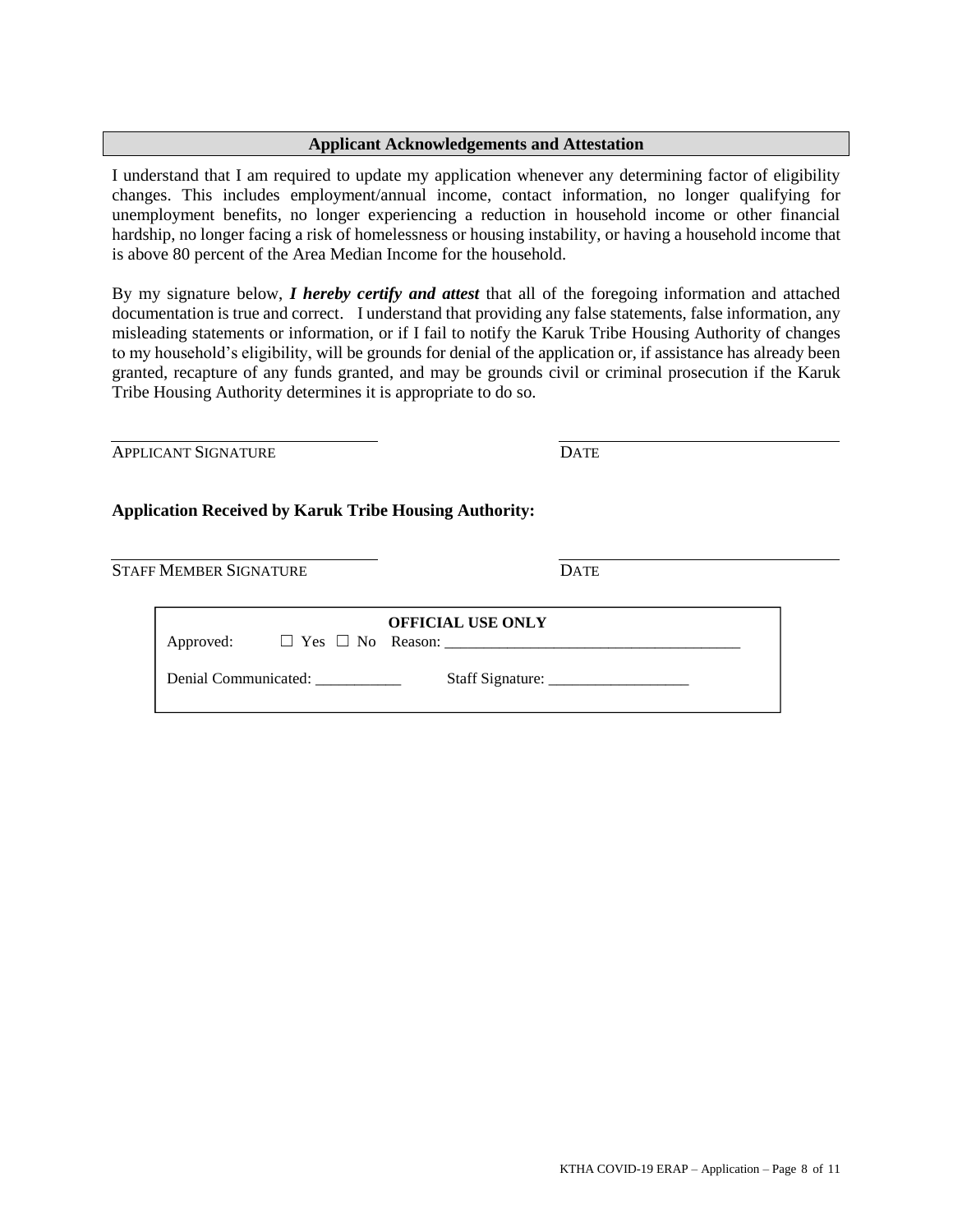#### **Applicant Acknowledgements and Attestation**

I understand that I am required to update my application whenever any determining factor of eligibility changes. This includes employment/annual income, contact information, no longer qualifying for unemployment benefits, no longer experiencing a reduction in household income or other financial hardship, no longer facing a risk of homelessness or housing instability, or having a household income that is above 80 percent of the Area Median Income for the household.

By my signature below, *I hereby certify and attest* that all of the foregoing information and attached documentation is true and correct. I understand that providing any false statements, false information, any misleading statements or information, or if I fail to notify the Karuk Tribe Housing Authority of changes to my household's eligibility, will be grounds for denial of the application or, if assistance has already been granted, recapture of any funds granted, and may be grounds civil or criminal prosecution if the Karuk Tribe Housing Authority determines it is appropriate to do so.

APPLICANT SIGNATURE DATE

#### **Application Received by Karuk Tribe Housing Authority:**

STAFF MEMBER SIGNATURE DATE

| Approved: |                      | <b>OFFICIAL USE ONLY</b> |
|-----------|----------------------|--------------------------|
|           | Denial Communicated: |                          |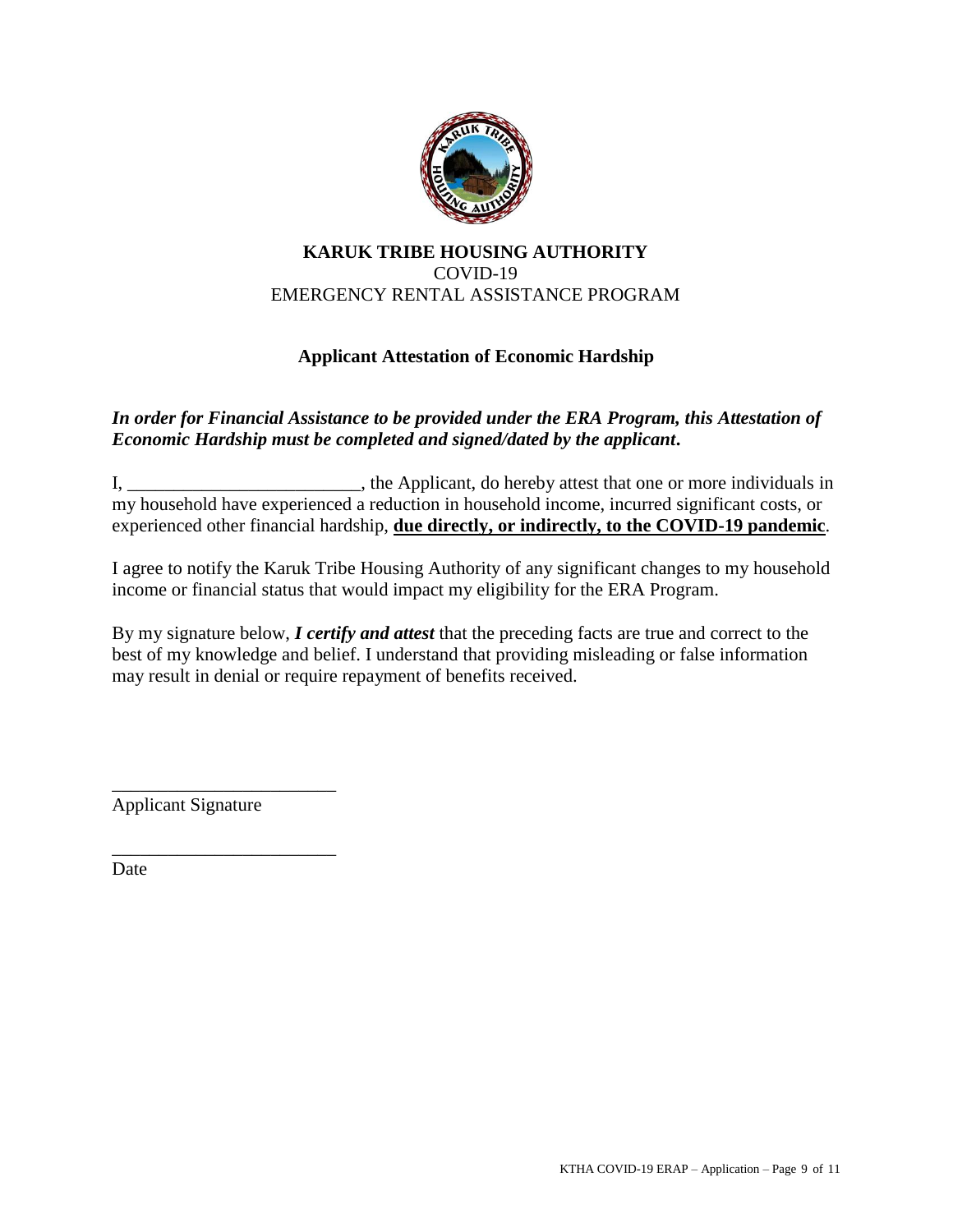

## **KARUK TRIBE HOUSING AUTHORITY** COVID-19 EMERGENCY RENTAL ASSISTANCE PROGRAM

## **Applicant Attestation of Economic Hardship**

### *In order for Financial Assistance to be provided under the ERA Program, this Attestation of Economic Hardship must be completed and signed/dated by the applicant***.**

I, \_\_\_\_\_\_\_\_\_\_\_\_\_\_\_\_\_\_\_\_\_\_\_\_\_, the Applicant, do hereby attest that one or more individuals in my household have experienced a reduction in household income, incurred significant costs, or experienced other financial hardship, **due directly, or indirectly, to the COVID-19 pandemic**.

I agree to notify the Karuk Tribe Housing Authority of any significant changes to my household income or financial status that would impact my eligibility for the ERA Program.

By my signature below, *I certify and attest* that the preceding facts are true and correct to the best of my knowledge and belief. I understand that providing misleading or false information may result in denial or require repayment of benefits received.

\_\_\_\_\_\_\_\_\_\_\_\_\_\_\_\_\_\_\_\_\_\_\_\_ Applicant Signature

\_\_\_\_\_\_\_\_\_\_\_\_\_\_\_\_\_\_\_\_\_\_\_\_

Date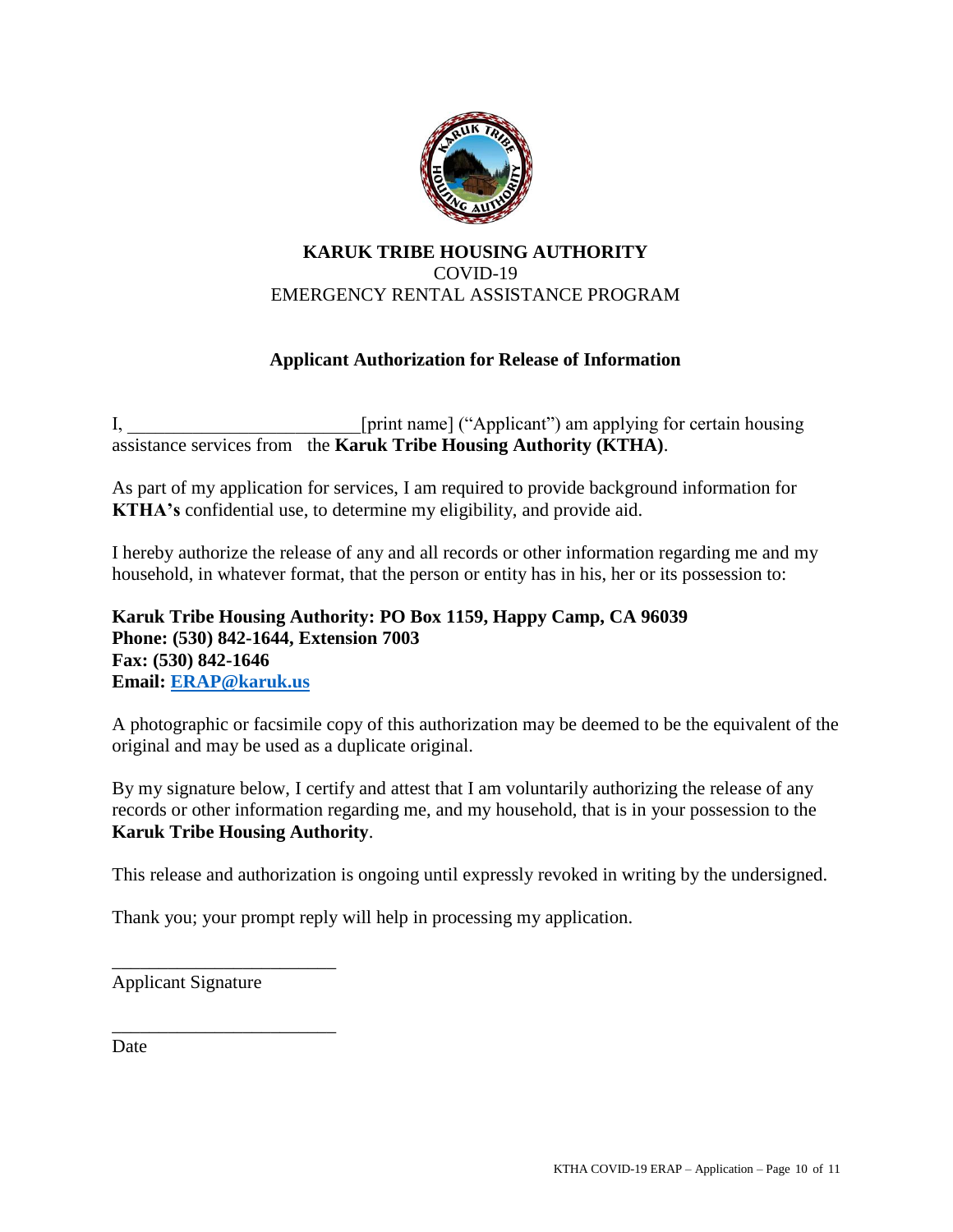

## **KARUK TRIBE HOUSING AUTHORITY** COVID-19 EMERGENCY RENTAL ASSISTANCE PROGRAM

## **Applicant Authorization for Release of Information**

I, [print name] ("Applicant") am applying for certain housing assistance services from the **Karuk Tribe Housing Authority (KTHA)**.

As part of my application for services, I am required to provide background information for **KTHA's** confidential use, to determine my eligibility, and provide aid.

I hereby authorize the release of any and all records or other information regarding me and my household, in whatever format, that the person or entity has in his, her or its possession to:

**Karuk Tribe Housing Authority: PO Box 1159, Happy Camp, CA 96039 Phone: (530) 842-1644, Extension 7003 Fax: (530) 842-1646 Email: [ERAP@karuk.us](mailto:ERAP@karuk.us)**

A photographic or facsimile copy of this authorization may be deemed to be the equivalent of the original and may be used as a duplicate original.

By my signature below, I certify and attest that I am voluntarily authorizing the release of any records or other information regarding me, and my household, that is in your possession to the **Karuk Tribe Housing Authority**.

This release and authorization is ongoing until expressly revoked in writing by the undersigned.

Thank you; your prompt reply will help in processing my application.

Applicant Signature

\_\_\_\_\_\_\_\_\_\_\_\_\_\_\_\_\_\_\_\_\_\_\_\_

\_\_\_\_\_\_\_\_\_\_\_\_\_\_\_\_\_\_\_\_\_\_\_\_

Date